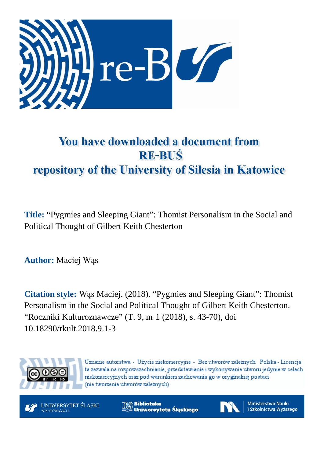

# You have downloaded a document from **RE-BUŚ** repository of the University of Silesia in Katowice

**Title:** "Pygmies and Sleeping Giant": Thomist Personalism in the Social and Political Thought of Gilbert Keith Chesterton

**Author:** Maciej Wąs

**Citation style:** Wąs Maciej. (2018). "Pygmies and Sleeping Giant": Thomist Personalism in the Social and Political Thought of Gilbert Keith Chesterton. "Roczniki Kulturoznawcze" (T. 9, nr 1 (2018), s. 43-70), doi 10.18290/rkult.2018.9.1-3



Uznanie autorstwa - Użycie niekomercyjne - Bez utworów zależnych Polska - Licencja ta zezwala na rozpowszechnianie, przedstawianie i wykonywanie utworu jedynie w celach niekomercyjnych oraz pod warunkiem zachowania go w oryginalnej postaci (nie tworzenia utworów zależnych).

UNIWERSYTET ŚLĄSKI **V KATOWICACH** 

**Biblioteka** Uniwersytetu Śląskiego



**Ministerstwo Nauki** i Szkolnictwa Wyższego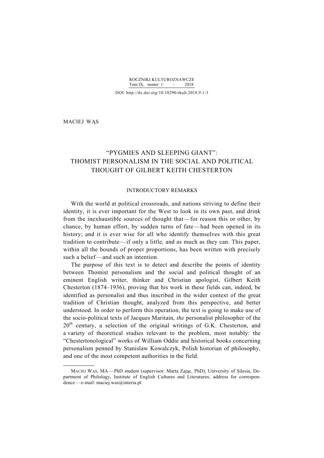ROCZNIKI KULTUROZNAWCZE Tom IX, numer  $1 - 2018$ 

DOI: http://dx.doi.org/10.18290/rkult.2018.9.1-3

MACIEJ WĄS

1

## "PYGMIES AND SLEEPING GIANT": THOMIST PERSONALISM IN THE SOCIAL AND POLITICAL THOUGHT OF GILBERT KEITH CHESTERTON

## INTRODUCTORY REMARKS

With the world at political crossroads, and nations striving to define their identity, it is ever important for the West to look in its own past, and drink from the inexhaustible sources of thought that—for reason this or other, by chance, by human effort, by sudden turns of fate—had been opened in its history; and it is ever wise for all who identify themselves with this great tradition to contribute—if only a little, and as much as they can. This paper, within all the bounds of proper proportions, has been written with precisely such a belief—and such an intention.

The purpose of this text is to detect and describe the points of identity between Thomist personalism and the social and political thought of an eminent English writer, thinker and Christian apologist, Gilbert Keith Chesterton (1874–1936), proving that his work in these fields can, indeed, be identified as personalist and thus inscribed in the wider context of the great tradition of Christian thought, analyzed from this perspective, and better understood. In order to perform this operation, the text is going to make use of the socio-political texts of Jacques Maritain, *the* personalist philosopher of the  $20<sup>th</sup>$  century, a selection of the original writings of G.K. Chesterton, and a variety of theoretical studies relevant to the problem, most notably: the "Chestertonological" works of William Oddie and historical books concerning personalism penned by Stanislaw Kowalczyk, Polish historian of philosophy, and one of the most competent authorities in the field.

MACIEJ WĄS, MA—PhD student (supervisor: Marta Zając, PhD), University of Silesia, Department of Philology, Institute of English Cultures and Literatures; address for correspondence—e-mail: maciej.was@interia.pl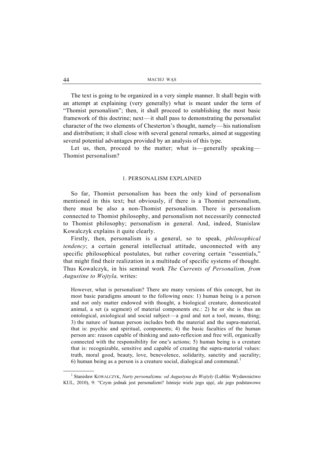The text is going to be organized in a very simple manner. It shall begin with an attempt at explaining (very generally) what is meant under the term of "Thomist personalism"; then, it shall proceed to establishing the most basic framework of this doctrine; next—it shall pass to demonstrating the personalist character of the two elements of Chesterton's thought, namely—his nationalism and distributism; it shall close with several general remarks, aimed at suggesting several potential advantages provided by an analysis of this type.

Let us, then, proceed to the matter; what is—generally speaking— Thomist personalism?

#### 1. PERSONALISM EXPLAINED

So far, Thomist personalism has been the only kind of personalism mentioned in this text; but obviously, if there is a Thomist personalism, there must be also a non-Thomist personalism. There is personalism connected to Thomist philosophy, and personalism not necessarily connected to Thomist philosophy; personalism in general. And, indeed, Stanislaw Kowalczyk explains it quite clearly.

Firstly, then, personalism is a general, so to speak, *philosophical tendency*; a certain general intellectual attitude, unconnected with any specific philosophical postulates, but rather covering certain "essentials," that might find their realization in a multitude of specific systems of thought. Thus Kowalczyk, in his seminal work *The Currents of Personalism, from Augustine to Wojtyla,* writes:

However, what is personalism? There are many versions of this concept, but its most basic paradigms amount to the following ones: 1) human being is a person and not only matter endowed with thought, a biological creature, domesticated animal, a set (a segment) of material components etc.: 2) he or she is thus an ontological, axiological and social subject—a goal and not a tool, means, thing; 3) the nature of human person includes both the material and the supra-material, that is: psychic and spiritual, components; 4) the basic faculties of the human person are: reason capable of thinking and auto-reflexion and free will, organically connected with the responsibility for one's actions; 5) human being is a creature that is: recognizable, sensitive and capable of creating the supra-material values: truth, moral good, beauty, love, benevolence, solidarity, sanctity and sacrality; 6) human being as a person is a creature social, dialogical and communal.<sup>1</sup>

 $\frac{1}{1}$  Stanisław KOWALCZYK, *Nurty personalizmu: od Augustyna do Wojtyły* (Lublin: Wydawnictwo KUL, 2010), 9: "Czym jednak jest personalizm? Istnieje wiele jego ujęć, ale jego podstawowe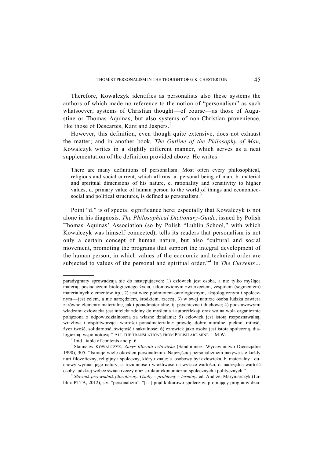Therefore, Kowalczyk identifies as personalists also these systems the authors of which made no reference to the notion of "personalism" as such whatsoever; systems of Christian thought—of course—as those of Augustine or Thomas Aquinas, but also systems of non-Christian provenience, like those of Descartes, Kant and Jaspers.<sup>2</sup>

However, this definition, even though quite extensive, does not exhaust the matter; and in another book, *The Outline of the Philosophy of Man,*  Kowalczyk writes in a slightly different manner, which serves as a neat supplementation of the definition provided above. He writes:

There are many definitions of personalism. Most often every philosophical, religious and social current, which affirms: a. personal being of man, b. material and spiritual dimensions of his nature, c. rationality and sensitivity to higher values, d. primary value of human person to the world of things and economicosocial and political structures, is defined as personalism.<sup>3</sup>

Point "d." is of special significance here; especially that Kowalczyk is not alone in his diagnosis. *The Philosophical Dictionary-Guide*, issued by Polish Thomas Aquinas' Association (so by Polish "Lublin School," with which Kowalczyk was himself connected), tells its readers that personalism is not only a certain concept of human nature, but also "cultural and social movement, promoting the programs that support the integral development of the human person, in which values of the economic and technical order are subjected to values of the personal and spiritual order."<sup>4</sup> In *The Currents...* 

 $\overline{\phantom{a}}$ 

paradygmaty sprowadzają się do następujących: 1) człowiek jest osobą, a nie tylko myślącą materią, posiadaczem biologicznego życia, udomowionym zwierzęciem, zespołem (segmentem) materialnych elementów itp.; 2) jest więc podmiotem ontologicznym, aksjologicznym i społecznym—jest celem, a nie narzędziem, środkiem, rzeczą; 3) w swej naturze osoba ludzka zawiera zarówno elementy materialne, jak i ponadmaterialne, tj. psychiczne i duchowe; 4) podstawowymi władzami człowieka jest intelekt zdolny do myślenia i autorefleksji oraz wolna wola organicznie połączona z odpowiedzialnością za własne działania; 5) człowiek jest istotą rozpoznawalną, wrażliwą i współtworzącą wartości ponadmaterialne: prawdę, dobro moralne, piękno, miłość, życzliwość, solidarność, świętość i sakralność; 6) człowiek jako osoba jest istotą społeczną, dialogiczną, wspólnotową." ALL THE TRANSLATIONS FROM POLISH ARE MINE-M.W.

 $<sup>2</sup>$  Ibid., table of contents and p. 6.</sup>

<sup>3</sup> Stanisław KOWALCZYK, *Zarys filozofii człowieka* (Sandomierz: Wydawnictwo Diecezjalne 1990), 305: "Istnieje wiele określeń personalizmu. Najczęściej personalizmem nazywa się każdy nurt filozoficzny, religijny i społeczny, który uznaje: a. osobowy byt człowieka, b. materialny i duchowy wymiar jego natury, c. rozumność i wrażliwość na wyższe wartości, d. nadrzędną wartość osoby ludzkiej wobec świata rzeczy oraz struktur ekonomiczno-społecznych i politycznych." 4 *<sup>S</sup>łownik-przewodnik filozoficzny. Osoby – problemy – terminy*, ed. Andrzej Maryniarczyk (Lu-

blin: PTTA, 2012), s.v. "personalizm": "[...] prąd kulturowo-społeczny, promujący programy dzia-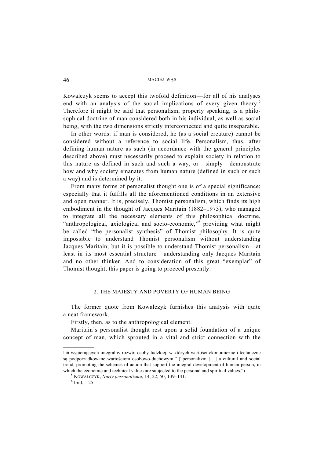Kowalczyk seems to accept this twofold definition—for all of his analyses end with an analysis of the social implications of every given theory.<sup>5</sup> Therefore it might be said that personalism, properly speaking, is a philosophical doctrine of man considered both in his individual, as well as social being, with the two dimensions strictly interconnected and quite inseparable.

In other words: if man is considered, he (as a social creature) cannot be considered without a reference to social life. Personalism, thus, after defining human nature as such (in accordance with the general principles described above) must necessarily proceed to explain society in relation to this nature as defined in such and such a way, or—simply—demonstrate how and why society emanates from human nature (defined in such or such a way) and is determined by it.

From many forms of personalist thought one is of a special significance; especially that it fulfills all the aforementioned conditions in an extensive and open manner. It is, precisely, Thomist personalism, which finds its high embodiment in the thought of Jacques Maritain (1882–1973), who managed to integrate all the necessary elements of this philosophical doctrine, "anthropological, axiological and socio-economic,"<sup>6</sup> providing what might be called "the personalist synthesis" of Thomist philosophy. It is quite impossible to understand Thomist personalism without understanding Jacques Maritain; but it is possible to understand Thomist personalism—at least in its most essential structure—understanding only Jacques Maritain and no other thinker. And to consideration of this great "exemplar" of Thomist thought, this paper is going to proceed presently.

## 2. THE MAJESTY AND POVERTY OF HUMAN BEING

The former quote from Kowalczyk furnishes this analysis with quite a neat framework.

Firstly, then, as to the anthropological element.

Maritain's personalist thought rest upon a solid foundation of a unique concept of man, which sprouted in a vital and strict connection with the

1

łań wspierających integralny rozwój osoby ludzkiej, w których wartości ekonomiczne i techniczne są podporządkowane wartościom osobowo-duchowym." ("personalizm […] a cultural and social trend, promoting the schemes of action that support the integral development of human person, in which the economic and technical values are subjected to the personal and spiritual values.")

KOWALCZYK, *Nurty personalizmu*, 14, 22, 50, 139–141. 6

 $6$  Ibid., 125.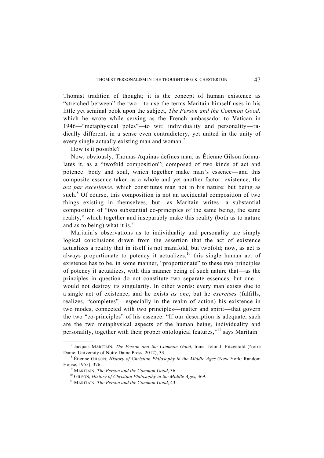Thomist tradition of thought; it is the concept of human existence as "stretched between" the two—to use the terms Maritain himself uses in his little yet seminal book upon the subject, *The Person and the Common Good,*  which he wrote while serving as the French ambassador to Vatican in 1946—"metaphysical poles"—to wit: individuality and personality—radically different, in a sense even contradictory, yet united in the unity of every single actually existing man and woman.<sup>7</sup>

How is it possible?

Now, obviously, Thomas Aquinas defines man, as Étienne Gilson formulates it, as a "twofold composition"; composed of two kinds of act and potence: body and soul, which together make man's essence—and this composite essence taken as a whole and yet another factor: existence, the *act par excellence*, which constitutes man not in his nature: but being as such. $8$  Of course, this composition is not an accidental composition of two things existing in themselves, but—as Maritain writes—a substantial composition of "two substantial co-principles of the same being, the same reality," which together and inseparably make this reality (both as to nature and as to being) what it is.<sup>9</sup>

Maritain's observations as to individuality and personality are simply logical conclusions drawn from the assertion that the act of existence actualizes a reality that in itself is not manifold, but twofold; now, as act is always proportionate to potency it actualizes, $^{10}$  this single human act of existence has to be, in some manner, "proportionate" to these two principles of potency it actualizes, with this manner being of such nature that—as the principles in question do not constitute two separate essences, but one would not destroy its singularity. In other words: every man exists due to a single act of existence, and he exists *as one*, but he *exercises* (fulfills, realizes, "completes"—especially in the realm of action) his existence in two modes, connected with two principles—matter and spirit—that govern the two "co-principles" of his essence. "If our description is adequate, such are the two metaphysical aspects of the human being, individuality and personality, together with their proper ontological features,"11 says Maritain.

 $\overline{\phantom{a}}$ <sup>7</sup> Jacques MARITAIN, *The Person and the Common Good*, trans. John J. Fitzgerald (Notre Dame: University of Notre Dame Press, 2012), 33.

Étienne GILSON, *History of Christian Philosophy in the Middle Ages* (New York: Random House, 1955), 376.<br><sup>9</sup> MARITAIN, *The Person and the Common Good*, 36.

<sup>&</sup>lt;sup>10</sup> GILSON, *History of Christian Philosophy in the Middle Ages*, 369. <sup>11</sup> MARITAIN, *The Person and the Common Good*, 43.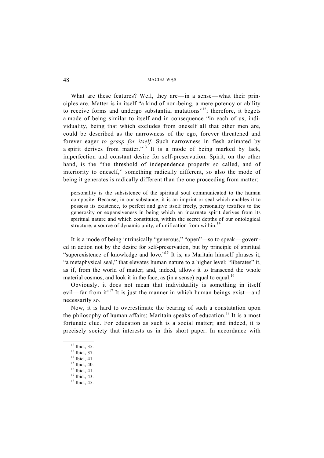What are these features? Well, they are—in a sense—what their principles are. Matter is in itself "a kind of non-being, a mere potency or ability to receive forms and undergo substantial mutations"<sup>12</sup>; therefore, it begets a mode of being similar to itself and in consequence "in each of us, individuality, being that which excludes from oneself all that other men are, could be described as the narrowness of the ego, forever threatened and forever eager *to grasp for itself*. Such narrowness in flesh animated by a spirit derives from matter."<sup>13</sup> It is a mode of being marked by lack, imperfection and constant desire for self-preservation. Spirit, on the other hand, is the "the threshold of independence properly so called, and of interiority to oneself," something radically different, so also the mode of being it generates is radically different than the one proceeding from matter;

personality is the subsistence of the spiritual soul communicated to the human composite. Because, in our substance, it is an imprint or seal which enables it to possess its existence, to perfect and give itself freely, personality testifies to the generosity or expansiveness in being which an incarnate spirit derives from its spiritual nature and which constitutes, within the secret depths of our ontological structure, a source of dynamic unity, of unification from within.<sup>14</sup>

It is a mode of being intrinsically "generous," "open"—so to speak—governed in action not by the desire for self-preservation, but by principle of spiritual "superexistence of knowledge and love."15 It is, as Maritain himself phrases it, "a metaphysical seal," that elevates human nature to a higher level; "liberates" it, as if, from the world of matter; and, indeed, allows it to transcend the whole material cosmos, and look it in the face, as (in a sense) equal to equal.<sup>16</sup>

Obviously, it does not mean that individuality is something in itself evil—far from it!<sup>17</sup> It is just the manner in which human beings exist—and necessarily so.

Now, it is hard to overestimate the bearing of such a constatation upon the philosophy of human affairs; Maritain speaks of education.<sup>18</sup> It is a most fortunate clue. For education as such is a social matter; and indeed, it is precisely society that interests us in this short paper. In accordance with

 <sup>12</sup> Ibid., 35.

<sup>13</sup> Ibid., 37.

<sup>14</sup> Ibid., 41.

<sup>15</sup> Ibid., 40.

<sup>16</sup> Ibid., 41.

<sup>17</sup> Ibid., 43.

<sup>18</sup> Ibid., 45.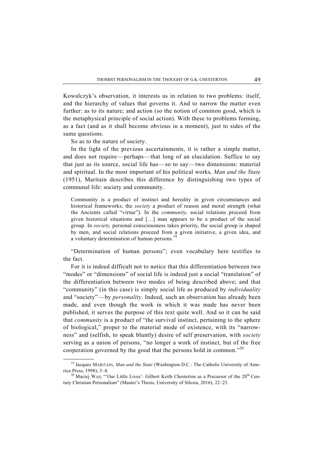Kowalczyk's observation, it interests us in relation to two problems: itself, and the hierarchy of values that governs it. And to narrow the matter even further: as to its nature; and action (so the notion of common good, which is the metaphysical principle of social action). With these to problems forming, as a fact (and as it shall become obvious in a moment), just to sides of the same questions.

So as to the nature of society.

In the light of the previous ascertainments, it is rather a simple matter, and does not require—perhaps—that long of an elucidation. Suffice to say that just as its source, social life has—so to say—two dimensions: material and spiritual. In the most important of his political works, *Man and the State*  (1951), Maritain describes this difference by distinguishing two types of communal life: society and community.

Community is a product of instinct and heredity in given circumstances and historical frameworks; the *society* a product of reason and moral strength (what the Ancients called "virtue"). In the *community,* social relations proceed from given historical situations and […] man appears to be a product of the social group. In *society,* personal consciousness takes priority, the social group is shaped by men, and social relations proceed from a given initiative, a given idea, and a voluntary determination of human persons.<sup>1</sup>

"Determination of human persons"; even vocabulary here testifies to the fact.

For it is indeed difficult not to notice that this differentiation between two "modes" or "dimensions" of social life is indeed just a social "translation" of the differentiation between two modes of being described above; and that "community" (in this case) is simply social life as produced by *individuality*  and "society"—by *personality*. Indeed, such an observation has already been made, and even though the work in which it was made has never been published, it serves the purpose of this text quite well. And so it can be said that *community* is a product of "the survival instinct, pertaining to the sphere of biological," proper to the material mode of existence, with its "narrowness" and (selfish, to speak bluntly) desire of self preservation, with *society* serving as a union of persons, "no longer a work of instinct, but of the free cooperation governed by the good that the persons hold in common."<sup>20</sup>

<sup>&</sup>lt;sup>19</sup> Jacques MARITAIN, Man and the State (Washington D.C.: The Catholic University of America Press, 1998), 3–4.<br><sup>20</sup> Maciej WĄs, "'Our Little Lives': Gilbert Keith Chesterton as a Precursor of the 20<sup>th</sup> Cen-

tury Christian Personalism" (Master's Thesis, University of Silesia, 2016), 22–23.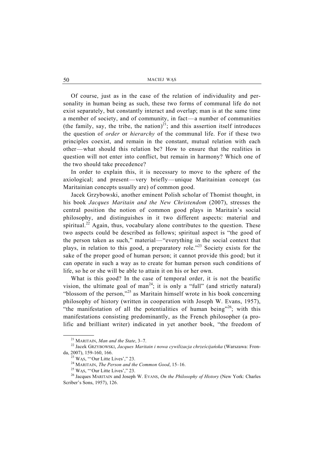Of course, just as in the case of the relation of individuality and personality in human being as such, these two forms of communal life do not exist separately, but constantly interact and overlap; man is at the same time a member of society, and of community, in fact—a number of communities (the family, say, the tribe, the nation)<sup>21</sup>; and this assertion itself introduces the question of *order* or *hierarchy* of the communal life. For if these two principles coexist, and remain in the constant, mutual relation with each other—what should this relation be? How to ensure that the realities in question will not enter into conflict, but remain in harmony? Which one of the two should take precedence?

In order to explain this, it is necessary to move to the sphere of the axiological; and present—very briefly—unique Maritainian concept (as Maritainian concepts usually are) of common good.

Jacek Grzybowski, another eminent Polish scholar of Thomist thought, in his book *Jacques Maritain and the New Christendom* (2007), stresses the central position the notion of common good plays in Maritain's social philosophy, and distinguishes in it two different aspects: material and spiritual.<sup>22</sup> Again, thus, vocabulary alone contributes to the question. These two aspects could be described as follows; spiritual aspect is "the good of the person taken as such," material—"everything in the social context that plays, in relation to this good, a preparatory role."23 Society exists for the sake of the proper good of human person; it cannot provide this good; but it can operate in such a way as to create for human person such conditions of life, so he or she will be able to attain it on his or her own.

What is this good? In the case of temporal order, it is not the beatific vision, the ultimate goal of man<sup>24</sup>; it is only a "full" (and strictly natural) "blossom of the person,"<sup>25</sup> as Maritain himself wrote in his book concerning philosophy of history (written in cooperation with Joseph W. Evans, 1957), "the manifestation of all the potentialities of human being"<sup>26</sup>; with this manifestations consisting predominantly, as the French philosopher (a prolific and brilliant writer) indicated in yet another book, "the freedom of

<sup>&</sup>lt;sup>21</sup> MARITAIN, *Man and the State*, 3–7.<br><sup>22</sup> Jacek GRZYBOWSKI, *Jacques Maritain i nowa cywilizacja chrześcijańska* (Warszawa: Fronda, 2007), 159-160, 166.<br>
<sup>23</sup> WAS, "'Our Litte Lives'," 23.<br>
<sup>24</sup> MARITAIN, *The Person and the Common Good*, 15–16.<br>
<sup>25</sup> WAS, "'Our Litte Lives'," 23.<br>
<sup>26</sup> Jacques MARITAIN and Joseph W. EVANS, *On the Philosophy of H* 

Scriber's Sons, 1957), 126.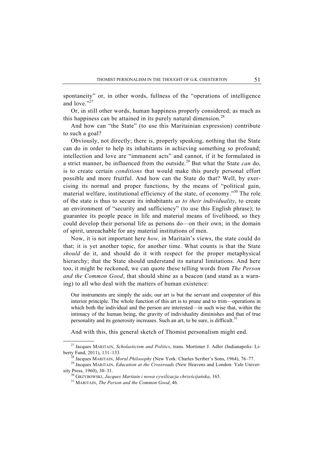spontaneity" or, in other words, fullness of the "operations of intelligence and love." $^{27}$ 

Or, in still other words, human happiness properly considered; as much as this happiness can be attained in its purely natural dimension.<sup>28</sup>

And how can "the State" (to use this Maritainian expression) contribute to such a goal?

Obviously, not directly; there is, properly speaking, nothing that the State can do in order to help its inhabitants in achieving something so profound; intellection and love are "immanent acts" and cannot, if it be formulated in a strict manner, be influenced from the outside.29 But what the State *can* do, is to create certain *conditions* that would make this purely personal effort possible and more fruitful. And how can the State do that? Well, by exercising its normal and proper functions, by the means of "political gain, material welfare, institutional efficiency of the state, of economy."30 The role of the state is thus to secure its inhabitants *as to their individuality*, to create an environment of "security and sufficiency" (to use this English phrase); to guarantee its people peace in life and material means of livelihood, so they could develop their personal life as persons do—on their own; in the domain of spirit, unreachable for any material institutions of men.

Now, it is not important here *how,* in Maritain's views, the state could do that; it is yet another topic, for another time. What counts is that the State *should* do it, and should do it with respect for the proper metaphysical hierarchy; that the State should understand its natural limitations. And here too, it might be reckoned, we can quote these telling words from *The Person and the Common Good*, that should shine as a beacon (and stand as a warning) to all who deal with the matters of human existence:

Our instruments are simply the aids; our art is but the servant and cooperator of this interior principle. The whole function of this art is to prune and to trim—operations in which both the individual and the person are interested—in such wise that, within the intimacy of the human being, the gravity of individuality diminishes and that of true personality and its generosity increases. Such an art, to be sure, is difficult.<sup>31</sup>

And with this, this general sketch of Thomist personalism might end.

 <sup>27</sup> Jacques MARITAIN, *Scholasticism and Politics*, trans. Mortimer J. Adler (Indianapolis: Liberty Fund, 2011), 131–133. 28 Jacques MARITAIN, *Moral Philosophy* (New York: Charles Scriber's Sons, 1964), 76–77. 29 Jacques MARITAIN, *Education at the Crossroads* (New Heavens and London: Yale Univer-

sity Press, 1960), 30–31. 30 GRZYBOWSKI, *Jacques Maritain i nowa cywilizacja chrześcijańska*, 165. 31 MARITAIN, *The Person and the Common Good*, 46.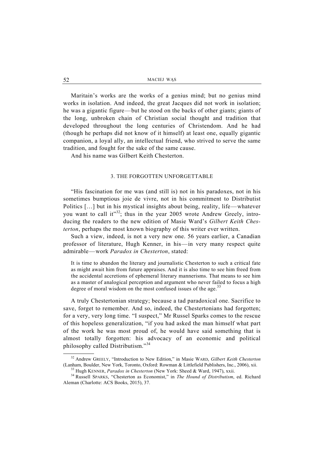Maritain's works are the works of a genius mind; but no genius mind works in isolation. And indeed, the great Jacques did not work in isolation; he was a gigantic figure—but he stood on the backs of other giants; giants of the long, unbroken chain of Christian social thought and tradition that developed throughout the long centuries of Christendom. And he had (though he perhaps did not know of it himself) at least one, equally gigantic companion, a loyal ally, an intellectual friend, who strived to serve the same tradition, and fought for the sake of the same cause.

And his name was Gilbert Keith Chesterton.

## 3. THE FORGOTTEN UNFORGETTABLE

"His fascination for me was (and still is) not in his paradoxes, not in his sometimes bumptious joie de vivre, not in his commitment to Distributist Politics […] but in his mystical insights about being, reality, life—whatever you want to call it"<sup>32</sup>; thus in the year 2005 wrote Andrew Greely, introducing the readers to the new edition of Masie Ward's *Gilbert Keith Chesterton*, perhaps the most known biography of this writer ever written.

Such a view, indeed, is not a very new one. 56 years earlier, a Canadian professor of literature, Hugh Kenner, in his—in very many respect quite admirable—work *Paradox in Chesterton*, stated:

It is time to abandon the literary and journalistic Chesterton to such a critical fate as might await him from future appraises. And it is also time to see him freed from the accidental accretions of ephemeral literary mannerisms. That means to see him as a master of analogical perception and argument who never failed to focus a high degree of moral wisdom on the most confused issues of the age.<sup>33</sup>

A truly Chestertonian strategy; because a tad paradoxical one. Sacrifice to save, forget to remember. And so, indeed, the Chestertonians had forgotten; for a very, very long time. "I suspect," Mr Russel Sparks comes to the rescue of this hopeless generalization, "if you had asked the man himself what part of the work he was most proud of, he would have said something that is almost totally forgotten: his advocacy of an economic and political philosophy called Distributism."<sup>34</sup>

<sup>&</sup>lt;sup>32</sup> Andrew GREELY, "Introduction to New Edition," in Masie WARD, *Gilbert Keith Chesterton* (Lanham, Boulder, New York, Toronto, Oxford: Rowman & Littlefield Publishers, Inc., 2006), xii.

<sup>&</sup>lt;sup>33</sup> Hugh KENNER, *Paradox in Chesterton* (New York: Sheed & Ward, 1947), xxii.<br><sup>34</sup> Russell SPARKS, "Chesterton as Economist," in *The Hound of Distributism*, ed. Richard Aleman (Charlotte: ACS Books, 2015), 37.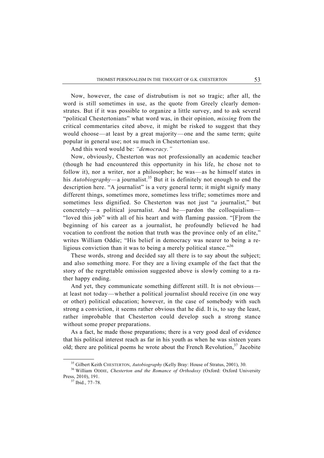Now, however, the case of distrubutism is not so tragic; after all, the word is still sometimes in use, as the quote from Greely clearly demonstrates. But if it was possible to organize a little survey, and to ask several "political Chestertonians" what word was, in their opinion, *missing* from the critical commentaries cited above, it might be risked to suggest that they would choose—at least by a great majority—one and the same term; quite popular in general use; not su much in Chestertonian use.

And this word would be: *"democracy."*

Now, obviously, Chesterton was not professionally an academic teacher (though he had encountered this opportunity in his life, he chose not to follow it), nor a writer, nor a philosopher; he was—as he himself states in his *Autobiography*—a journalist.<sup>35</sup> But it is definitely not enough to end the description here. "A journalist" is a very general term; it might signify many different things, sometimes more, sometimes less trifle; sometimes more and sometimes less dignified. So Chesterton was not just "*a* journalist," but concretely—a political journalist. And he—pardon the colloquialism— "loved this job" with all of his heart and with flaming passion. "[F]rom the beginning of his career as a journalist, he profoundly believed he had vocation to confront the notion that truth was the province only of an elite," writes William Oddie; "His belief in democracy was nearer to being a religious conviction than it was to being a merely political stance."<sup>36</sup>

These words, strong and decided say all there is to say about the subject; and also something more. For they are a living example of the fact that the story of the regrettable omission suggested above is slowly coming to a rather happy ending.

And yet, they communicate something different still. It is not obvious at least not today—whether a political journalist should receive (in one way or other) political education; however, in the case of somebody with such strong a conviction, it seems rather obvious that he did. It is, to say the least, rather improbable that Chesterton could develop such a strong stance without some proper preparations.

As a fact, he made those preparations; there is a very good deal of evidence that his political interest reach as far in his youth as when he was sixteen years old; there are political poems he wrote about the French Revolution,  $37$  Jacobite

<sup>&</sup>lt;sup>35</sup> Gilbert Keith CHESTERTON, *Autobiography* (Kelly Bray: House of Stratus, 2001), 30.<br><sup>36</sup> William ODDIE, *Chesterton and the Romance of Orthodoxy* (Oxford: Oxford University Press, 2010), 191.<br><sup>37</sup> Ibid., 77–78.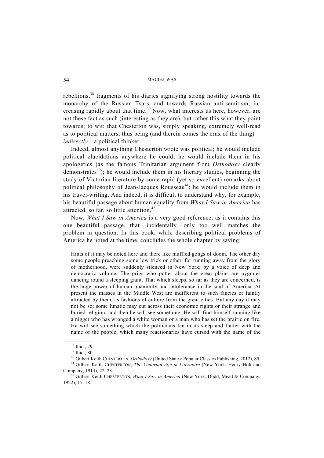rebellions,<sup>38</sup> fragments of his diaries signifying strong hostility towards the monarchy of the Russian Tsars, and towards Russian anti-semitism, increasing rapidly about that time.<sup>39</sup> Now, what interests us here, however, are not these fact as such (interesting as they are), but rather this what they point towards; to wit: that Chesterton was, simply speaking, extremely well-read as to political matters; thus being (and therein comes the crux of the thing) *indirectly—*a political thinker.

Indeed, almost anything Chesterton wrote was political; he would include political elucidations anywhere he could; he would include them in his apologetics (as the famous Trinitarian argument from *Orthodoxy* clearly demonstrates<sup>40</sup>); he would include them in his literary studies, beginning the study of Victorian literature by some rapid (yet so excellent) remarks about political philosophy of Jean-Jacques Rousseau<sup>41</sup>; he would include them in his travel-writing. And indeed, it is difficult to understand why, for example, his beautiful passage about human equality from *What I Saw in America* has attracted, so far, so little attention.<sup>42</sup>

Now, *What I Saw in America* is a very good reference; as it contains this one beautiful passage, that—incidentally—only too well matches the problem in question. In this book, while describing political problems of America he noted at the time, concludes the whole chapter by saying:

Hints of it may be noted here and there like muffled gongs of doom. The other day some people preaching some low trick or other, for running away from the glory of motherhood, were suddenly silenced in New York; by a voice of deep and democratic volume. The prigs who potter about the great plains are pygmies dancing round a sleeping giant. That which sleeps, so far as they are concerned, is the huge power of human unanimity and intolerance in the soul of America. At present the masses in the Middle West are indifferent to such fancies or faintly attracted by them, as fashions of culture from the great cities. But any day it may not be so; some lunatic may cut across their economic rights or their strange and buried religion; and then he will see something. He will find himself running like a nigger who has wronged a white woman or a man who has set the prairie on fire. He will see something which the politicians fan in its sleep and flatter with the name of the people, which many reactionaries have cursed with the name of the

 <sup>38</sup> Ibid., 79.

<sup>39</sup> Ibid., 80.

<sup>40</sup> Gilbert Keith CHESTERTON, *Orthodoxy* (United States: Popular Classics Publishing, 2012), 85. 41 Gilbert Keith CHESTERTON, *The Victorian Age in Literature* (New York: Henry Holt and Company, 1914), 22–23. 42 Gilbert Keith CHESTERTON, *What I Saw in America* (New York: Dodd, Mead & Company,

<sup>1922), 17–18.</sup>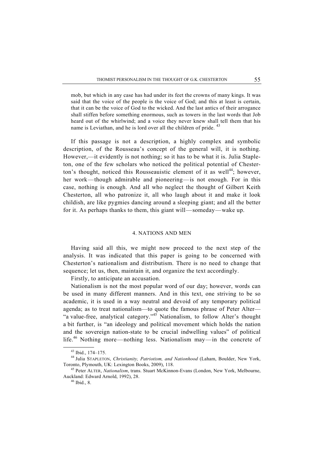mob, but which in any case has had under its feet the crowns of many kings. It was said that the voice of the people is the voice of God; and this at least is certain, that it can be the voice of God to the wicked. And the last antics of their arrogance shall stiffen before something enormous, such as towers in the last words that Job heard out of the whirlwind; and a voice they never knew shall tell them that his name is Leviathan, and he is lord over all the children of pride. <sup>43</sup>

If this passage is not a description, a highly complex and symbolic description, of the Rousseau's concept of the general will, it is nothing. However,—it evidently is not nothing; so it has to be what it is. Julia Stapleton, one of the few scholars who noticed the political potential of Chesterton's thought, noticed this Rousseauistic element of it as well<sup>44</sup>; however, her work—though admirable and pioneering—is not enough. For in this case, nothing is enough. And all who neglect the thought of Gilbert Keith Chesterton, all who patronize it, all who laugh about it and make it look childish, are like pygmies dancing around a sleeping giant; and all the better for it. As perhaps thanks to them, this giant will—someday—wake up.

#### 4. NATIONS AND MEN

Having said all this, we might now proceed to the next step of the analysis. It was indicated that this paper is going to be concerned with Chesterton's nationalism and distributism. There is no need to change that sequence; let us, then, maintain it, and organize the text accordingly.

Firstly, to anticipate an accusation.

Nationalism is not the most popular word of our day; however, words can be used in many different manners. And in this text, one striving to be so academic, it is used in a way neutral and devoid of any temporary political agenda; as to treat nationalism—to quote the famous phrase of Peter Alter— "a value-free, analytical category."<sup>45</sup> Nationalism, to follow Alter's thought a bit further, is "an ideology and political movement which holds the nation and the sovereign nation-state to be crucial indwelling values" of political life.46 Nothing more—nothing less. Nationalism may—in the concrete of

 <sup>43</sup> Ibid., 174–175.

<sup>44</sup> Julia STAPLETON, *Christianity, Patriotism, and Nationhood* (Laham, Boulder, New York, Toronto, Plymouth, UK: Lexington Books, 2009), 118. 45 Peter ALTER, *Nationalism*, trans. Stuart McKinnon-Evans (London, New York, Melbourne,

Auckland: Edward Arnold, 1992), 28. 46 Ibid., 8.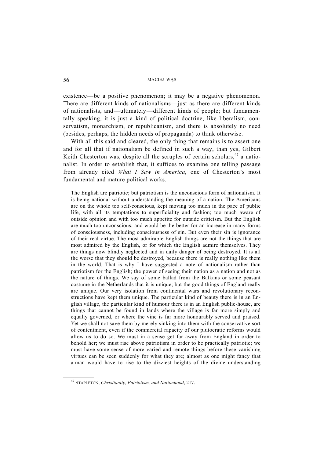existence—be a positive phenomenon; it may be a negative phenomenon. There are different kinds of nationalisms—just as there are different kinds of nationalists, and—ultimately—different kinds of people; but fundamentally speaking, it is just a kind of political doctrine, like liberalism, conservatism, monarchism, or republicanism, and there is absolutely no need (besides, perhaps, the hidden needs of propaganda) to think otherwise.

With all this said and cleared, the only thing that remains is to assert one and for all that if nationalism be defined in such a way, than yes, Gilbert Keith Chesterton was, despite all the scruples of certain scholars,  $47$  a nationalist. In order to establish that, it suffices to examine one telling passage from already cited *What I Saw in America*, one of Chesterton's most fundamental and mature political works.

The English are patriotic; but patriotism is the unconscious form of nationalism. It is being national without understanding the meaning of a nation. The Americans are on the whole too self-conscious, kept moving too much in the pace of public life, with all its temptations to superficiality and fashion; too much aware of outside opinion and with too much appetite for outside criticism. But the English are much too unconscious; and would be the better for an increase in many forms of consciousness, including consciousness of sin. But even their sin is ignorance of their real virtue. The most admirable English things are not the things that are most admired by the English, or for which the English admire themselves. They are things now blindly neglected and in daily danger of being destroyed. It is all the worse that they should be destroyed, because there is really nothing like them in the world. That is why I have suggested a note of nationalism rather than patriotism for the English; the power of seeing their nation as a nation and not as the nature of things. We say of some ballad from the Balkans or some peasant costume in the Netherlands that it is unique; but the good things of England really are unique. Our very isolation from continental wars and revolutionary reconstructions have kept them unique. The particular kind of beauty there is in an English village, the particular kind of humour there is in an English public-house, are things that cannot be found in lands where the village is far more simply and equally governed, or where the vine is far more honourably served and praised. Yet we shall not save them by merely sinking into them with the conservative sort of contentment, even if the commercial rapacity of our plutocratic reforms would allow us to do so. We must in a sense get far away from England in order to behold her; we must rise above patriotism in order to be practically patriotic; we must have some sense of more varied and remote things before these vanishing virtues can be seen suddenly for what they are; almost as one might fancy that a man would have to rise to the dizziest heights of the divine understanding

 <sup>47</sup> STAPLETON, *Christianity, Patriotism, and Nationhood*, 217.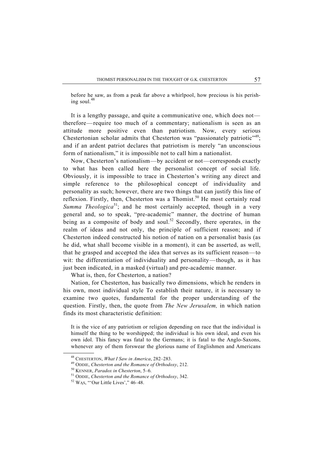before he saw, as from a peak far above a whirlpool, how precious is his perishing soul. $48$ 

It is a lengthy passage, and quite a communicative one, which does not therefore—require too much of a commentary; nationalism is seen as an attitude more positive even than patriotism. Now, every serious Chestertonian scholar admits that Chesterton was "passionately patriotic"<sup>49</sup>; and if an ardent patriot declares that patriotism is merely "an unconscious form of nationalism," it is impossible not to call him a nationalist.

Now, Chesterton's nationalism—by accident or not—corresponds exactly to what has been called here the personalist concept of social life. Obviously, it is impossible to trace in Chesterton's writing any direct and simple reference to the philosophical concept of individuality and personality as such; however, there are two things that can justify this line of reflexion. Firstly, then, Chesterton was a Thomist.<sup>50</sup> He most certainly read *Summa Theologica*<sup>51</sup>; and he most certainly accepted, though in a very general and, so to speak, "pre-academic" manner, the doctrine of human being as a composite of body and soul.<sup>52</sup> Secondly, there operates, in the realm of ideas and not only, the principle of sufficient reason; and if Chesterton indeed constructed his notion of nation on a personalist basis (as he did, what shall become visible in a moment), it can be asserted, as well, that he grasped and accepted the idea that serves as its sufficient reason—to wit: the differentiation of individuality and personality—though, as it has just been indicated, in a masked (virtual) and pre-academic manner.

What is, then, for Chesterton, a nation?

Nation, for Chesterton, has basically two dimensions, which he renders in his own, most individual style To establish their nature, it is necessary to examine two quotes, fundamental for the proper understanding of the question. Firstly, then, the quote from *The New Jerusalem,* in which nation finds its most characteristic definition:

It is the vice of any patriotism or religion depending on race that the individual is himself the thing to be worshipped; the individual is his own ideal, and even his own idol. This fancy was fatal to the Germans; it is fatal to the Anglo-Saxons, whenever any of them forswear the glorious name of Englishmen and Americans

<sup>&</sup>lt;sup>48</sup> CHESTERTON, *What I Saw in America*, 282–283.<br><sup>49</sup> ODDIE, *Chesterton and the Romance of Orthodoxy*, 212.<br><sup>50</sup> KENNER, *Paradox in Chesterton*, 5–6.<br><sup>51</sup> ODDIE, *Chesterton and the Romance of Orthodoxy*, 342.<br><sup>52</sup> WA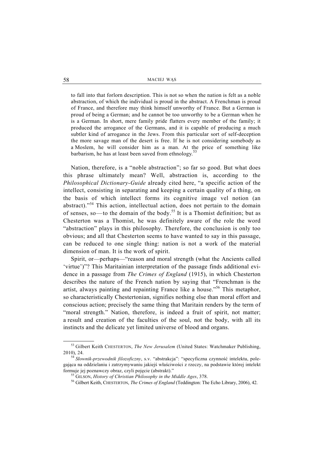to fall into that forlorn description. This is not so when the nation is felt as a noble abstraction, of which the individual is proud in the abstract. A Frenchman is proud of France, and therefore may think himself unworthy of France. But a German is proud of being a German; and he cannot be too unworthy to be a German when he is a German. In short, mere family pride flatters every member of the family; it produced the arrogance of the Germans, and it is capable of producing a much subtler kind of arrogance in the Jews. From this particular sort of self-deception the more savage man of the desert is free. If he is not considering somebody as a Moslem, he will consider him as a man. At the price of something like barbarism, he has at least been saved from ethnology.<sup>53</sup>

Nation, therefore, is a "noble abstraction"; so far so good. But what does this phrase ultimately mean? Well, abstraction is, according to the *Philosophical Dictionary-Guide* already cited here, "a specific action of the intellect, consisting in separating and keeping a certain quality of a thing, on the basis of which intellect forms its cognitive image vel notion (an abstract)."54 This action, intellectual action, does not pertain to the domain of senses, so—to the domain of the body.55 It is a Thomist definition; but as Chesterton was a Thomist, he was definitely aware of the role the word "abstraction" plays in this philosophy. Therefore, the conclusion is only too obvious; and all that Chesterton seems to have wanted to say in this passage, can be reduced to one single thing: nation is not a work of the material dimension of man. It is the work of spirit.

Spirit, or—perhaps—"reason and moral strength (what the Ancients called 'virtue')"? This Maritainian interpretation of the passage finds additional evidence in a passage from *The Crimes of England* (1915), in which Chesterton describes the nature of the French nation by saying that "Frenchman is the artist, always painting and repainting France like a house."56 This metaphor, so characteristically Chestertonian, signifies nothing else than moral effort and conscious action; precisely the same thing that Maritain renders by the term of "moral strength." Nation, therefore, is indeed a fruit of spirit, not matter; a result and creation of the faculties of the soul, not the body, with all its instincts and the delicate yet limited universe of blood and organs.

 <sup>53</sup> Gilbert Keith CHESTERTON, *The New Jerusalem* (United States: Watchmaker Publishing,

<sup>2010), 24. 54</sup> *<sup>S</sup>łownik-przewodnik filozoficzny*, s.v. "abstrakcja": "specyficzna czynność intelektu, polegająca na oddzielaniu i zatrzymywaniu jakiejś właściwości z rzeczy, na podstawie której intelekt formuje jej poznawczy obraz, czyli pojęcie (abstrakt)."<br><sup>55</sup> GILSON, *History of Christian Philosophy in the Middle Ages*, 378.<br><sup>56</sup> Gilbert Keith, CHESTERTON, *The Crimes of England* (Teddington: The Echo Library, 2006),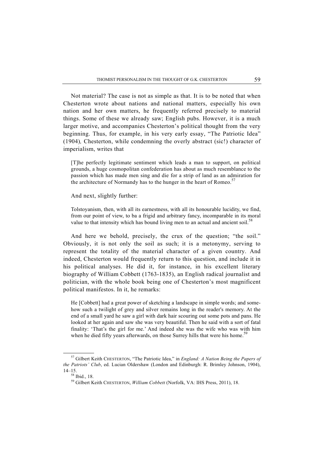Not material? The case is not as simple as that. It is to be noted that when Chesterton wrote about nations and national matters, especially his own nation and her own matters, he frequently referred precisely to material things. Some of these we already saw; English pubs. However, it is a much larger motive, and accompanies Chesterton's political thought from the very beginning. Thus, for example, in his very early essay, "The Patriotic Idea" (1904)*,* Chesterton, while condemning the overly abstract (sic!) character of imperialism, writes that

[T]he perfectly legitimate sentiment which leads a man to support, on political grounds, a huge cosmopolitan confederation has about as much resemblance to the passion which has made men sing and die for a strip of land as an admiration for the architecture of Normandy has to the hunger in the heart of Romeo.<sup>57</sup>

And next, slightly further:

Tolstoyanism, then, with all its earnestness, with all its honourable lucidity, we find, from our point of view, to ba a frigid and arbitrary fancy, incomparable in its moral value to that intensity which has bound living men to an actual and ancient soil.<sup>58</sup>

And here we behold, precisely, the crux of the question; "the soil." Obviously, it is not only the soil as such; it is a metonymy, serving to represent the totality of the material character of a given country. And indeed, Chesterton would frequently return to this question, and include it in his political analyses. He did it, for instance, in his excellent literary biography of William Cobbett (1763-1835), an English radical journalist and politician, with the whole book being one of Chesterton's most magnificent political manifestos. In it, he remarks:

He [Cobbett] had a great power of sketching a landscape in simple words; and somehow such a twilight of grey and silver remains long in the reader's memory. At the end of a small yard he saw a girl with dark hair scouring out some pots and pans. He looked at her again and saw she was very beautiful. Then he said with a sort of fatal finality: 'That's the girl for me.' And indeed she was the wife who was with him when he died fifty years afterwards, on those Surrey hills that were his home.<sup>59</sup>

 <sup>57</sup> Gilbert Keith CHESTERTON, "The Patriotic Idea," in *England: A Nation Being the Papers of the Patriots' Club*, ed. Lucian Oldershaw (London and Edinburgh: R. Brimley Johnson, 1904),  $14-15.$ <sup>58</sup> Ibid., 18.

<sup>59</sup> Gilbert Keith CHESTERTON, *William Cobbett* (Norfolk, VA: IHS Press, 2011), 18.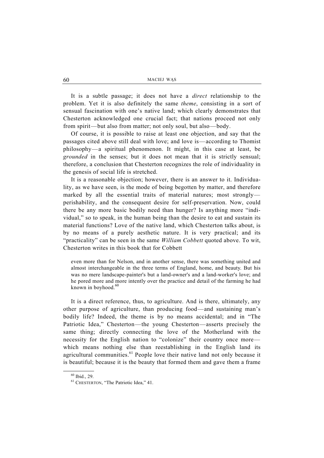It is a subtle passage; it does not have a *direct* relationship to the problem. Yet it is also definitely the same *theme*, consisting in a sort of sensual fascination with one's native land; which clearly demonstrates that Chesterton acknowledged one crucial fact; that nations proceed not only from spirit—but also from matter; not only soul, but also—body.

Of course, it is possible to raise at least one objection, and say that the passages cited above still deal with love; and love is—according to Thomist philosophy—a spiritual phenomenon. It might, in this case at least, be *grounded* in the senses; but it does not mean that it is strictly sensual; therefore, a conclusion that Chesterton recognizes the role of individuality in the genesis of social life is stretched.

It is a reasonable objection; however, there is an answer to it. Individuality, as we have seen, is the mode of being begotten by matter, and therefore marked by all the essential traits of material natures; most strongly perishability, and the consequent desire for self-preservation. Now, could there be any more basic bodily need than hunger? Is anything more "individual," so to speak, in the human being than the desire to eat and sustain its material functions? Love of the native land, which Chesterton talks about, is by no means of a purely aesthetic nature. It is very practical; and its "practicality" can be seen in the same *William Cobbett* quoted above. To wit, Chesterton writes in this book that for Cobbett

even more than for Nelson, and in another sense, there was something united and almost interchangeable in the three terms of England, home, and beauty. But his was no mere landscape-painter's but a land-owner's and a land-worker's love; and he pored more and more intently over the practice and detail of the farming he had known in boyhood. $60$ 

It is a direct reference, thus, to agriculture. And is there, ultimately, any other purpose of agriculture, than producing food—and sustaining man's bodily life? Indeed, the theme is by no means accidental; and in "The Patriotic Idea," Chesterton—the young Chesterton—asserts precisely the same thing; directly connecting the love of the Motherland with the necessity for the English nation to "colonize" their country once more which means nothing else than reestablishing in the English land its agricultural communities.<sup>61</sup> People love their native land not only because it is beautiful; because it is the beauty that formed them and gave them a frame

 <sup>60</sup> Ibid., 29.

<sup>61</sup> CHESTERTON, "The Patriotic Idea," 41.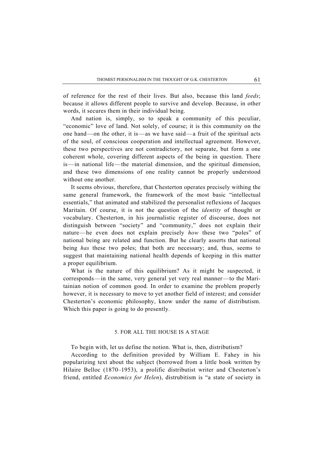of reference for the rest of their lives. But also, because this land *feeds*; because it allows different people to survive and develop. Because, in other words, it secures them in their individual being.

And nation is, simply, so to speak a community of this peculiar, "economic" love of land. Not solely, of course; it is this community on the one hand—on the other, it is—as we have said—a fruit of the spiritual acts of the soul, of conscious cooperation and intellectual agreement. However, these two perspectives are not contradictory, not separate, but form a one coherent whole, covering different aspects of the being in question. There is—in national life—the material dimension, and the spiritual dimension, and these two dimensions of one reality cannot be properly understood without one another.

It seems obvious, therefore, that Chesterton operates precisely withing the same general framework, the framework of the most basic "intellectual essentials," that animated and stabilized the personalist reflexions of Jacques Maritain. Of course, it is not the question of the *identity* of thought or vocabulary. Chesterton, in his journalistic register of discourse, does not distinguish between "society" and "community," does not explain their nature—he even does not explain precisely *how* these two "poles" of national being are related and function. But he clearly asserts that national being *has* these two poles; that both are necessary; and, thus, seems to suggest that maintaining national health depends of keeping in this matter a proper equilibrium.

What is the nature of this equilibrium? As it might be suspected, it corresponds—in the same, very general yet very real manner—to the Maritainian notion of common good. In order to examine the problem properly however, it is necessary to move to yet another field of interest; and consider Chesterton's economic philosophy, know under the name of distributism. Which this paper is going to do presently.

## 5. FOR ALL THE HOUSE IS A STAGE

To begin with, let us define the notion. What is, then, distributism?

According to the definition provided by William E. Fahey in his popularizing text about the subject (borrowed from a little book written by Hilaire Belloc (1870–1953), a prolific distributist writer and Chesterton's friend, entitled *Economics for Helen*), distrubitism is "a state of society in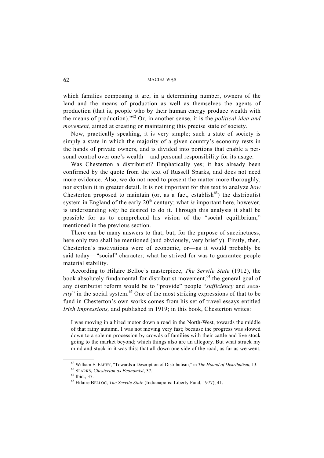which families composing it are, in a determining number, owners of the land and the means of production as well as themselves the agents of production (that is, people who by their human energy produce wealth with the means of production)."62 Or, in another sense, it is the *political idea and movement,* aimed at creating or maintaining this precise state of society.

Now, practically speaking, it is very simple; such a state of society is simply a state in which the majority of a given country's economy rests in the hands of private owners, and is divided into portions that enable a personal control over one's wealth—and personal responsibility for its usage.

Was Chesterton a distributist? Emphatically yes; it has already been confirmed by the quote from the text of Russell Sparks, and does not need more evidence. Also, we do not need to present the matter more thoroughly, nor explain it in greater detail. It is not important for this text to analyze *how*  Chesterton proposed to maintain (or, as a fact, establish $^{63}$ ) the distributist system in England of the early 20<sup>th</sup> century; what *is* important here, however, is understanding *why* he desired to do it. Through this analysis it shall be possible for us to comprehend his vision of the "social equilibrium," mentioned in the previous section.

There can be many answers to that; but, for the purpose of succinctness, here only two shall be mentioned (and obviously, very briefly). Firstly, then, Chesterton's motivations were of economic, or—as it would probably be said today—"social" character; what he strived for was to guarantee people material stability.

According to Hilaire Belloc's masterpiece, *The Servile State* (1912), the book absolutely fundamental for distributist movement,<sup>64</sup> the general goal of any distributist reform would be to "provide" people "*sufficiency* and *security*" in the social system.<sup>65</sup> One of the most striking expressions of that to be fund in Chesterton's own works comes from his set of travel essays entitled *Irish Impressions,* and published in 1919; in this book, Chesterton writes:

I was moving in a hired motor down a road in the North-West, towards the middle of that rainy autumn. I was not moving very fast; because the progress was slowed down to a solemn procession by crowds of families with their cattle and live stock going to the market beyond; which things also are an allegory. But what struck my mind and stuck in it was this: that all down one side of the road, as far as we went,

 <sup>62</sup> William E. FAHEY, "Towards a Description of Distributism," in *The Hound of Distributism*, 13. 63 SPARKS, *Chesterton as Economist*, 37. 64 Ibid., 37.

<sup>65</sup> Hilaire BELLOC, *The Servile State* (Indianapolis: Liberty Fund, 1977), 41.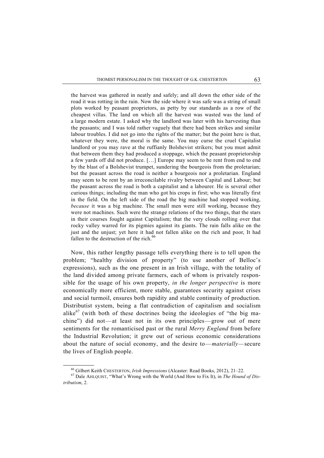the harvest was gathered in neatly and safely; and all down the other side of the road it was rotting in the rain. Now the side where it was safe was a string of small plots worked by peasant proprietors, as petty by our standards as a row of the cheapest villas. The land on which all the harvest was wasted was the land of a large modern estate. I asked why the landlord was later with his harvesting than the peasants; and I was told rather vaguely that there had been strikes and similar labour troubles. I did not go into the rights of the matter; but the point here is that, whatever they were, the moral is the same. You may curse the cruel Capitalist landlord or you may rave at the ruffianly Bolshevist strikers; but you must admit that between them they had produced a stoppage, which the peasant proprietorship a few yards off did not produce. […] Europe may seem to be rent from end to end by the blast of a Bolshevist trumpet, sundering the bourgeois from the proletarian; but the peasant across the road is neither a bourgeois nor a proletarian. England may seem to be rent by an irreconcilable rivalry between Capital and Labour; but the peasant across the road is both a capitalist and a labourer. He is several other curious things; including the man who got his crops in first; who was literally first in the field. On the left side of the road the big machine had stopped working, *because* it was a big machine. The small men were still working, because they were not machines. Such were the strange relations of the two things, that the stars in their courses fought against Capitalism; that the very clouds rolling over that rocky valley warred for its pigmies against its giants. The rain falls alike on the just and the unjust; yet here it had not fallen alike on the rich and poor, It had fallen to the destruction of the rich.<sup>6</sup>

Now, this rather lengthy passage tells everything there is to tell upon the problem; "healthy division of property" (to use another of Belloc's expressions), such as the one present in an Irish village, with the totality of the land divided among private farmers, each of whom is privately responsible for the usage of his own property, *in the longer perspective* is more economically more efficient, more stable, guarantees security against crises and social turmoil, ensures both rapidity and stable continuity of production. Distributist system, being a flat contradiction of capitalism and socialism alike $^{67}$  (with both of these doctrines being the ideologies of "the big machine") did not—at least not in its own principles—grow out of mere sentiments for the romanticised past or the rural *Merry England* from before the Industrial Revolution; it grew out of serious economic considerations about the nature of social economy, and the desire to—*materially—*secure the lives of English people.

<sup>&</sup>lt;sup>66</sup> Gilbert Keith CHESTERTON, *Irish Impressions* (Alcaster: Read Books, 2012), 21–22.<br><sup>67</sup> Dale AHLQUIST, "What's Wrong with the World (And How to Fix It), in *The Hound of Distributism*, 2.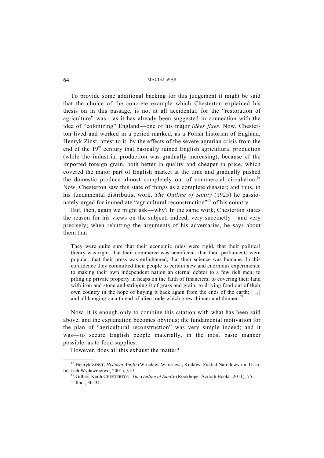To provide some additional backing for this judgement it might be said that the choice of the concrete example which Chesterton explained his thesis on in this passage, is not at all accidental; for the "restoration of agriculture" was—as it has already been suggested in connection with the idea of "colonizing" England—one of his major *idées fixes*. Now, Chesterton lived and worked in a period marked, as a Polish historian of England, Henryk Zinst, attest to it, by the effects of the severe agrarian crisis from the end of the  $19<sup>th</sup>$  century that basically ruined English agricultural production (while the industrial production was gradually increasing), because of the imported foreign grain, both better in quality and cheaper in price, which covered the major part of English market at the time and gradually pushed the domestic produce almost completely out of commercial circulation.<sup>68</sup> Now, Chesterton saw this state of things as a complete disaster; and thus, in his fundamental distributist work, *The Outline of Sanity* (1925) he passionately urged for immediate "agricultural reconstruction"69 of his country.

But, then, again we might ask—why? In the same work, Chesterton states the reason for his views on the subject, indeed, very succinctly—and very precisely; when rebutting the arguments of his adversaries, he says about them that

They were quite sure that their economic rules were rigid, that their political theory was right, that their commerce was beneficent, that their parliaments were popular, that their press was enlightened, that their science was humane. In this confidence they committed their people to certain new and enormous experiments; to making their own independent nation an eternal debtor to a few rich men; to piling up private property in heaps on the faith of financiers; to covering their land with iron and stone and stripping it of grass and grain; to driving food out of their own country in the hope of buying it back again from the ends of the earth; […] and all hanging on a thread of alien trade which grew thinner and thinner.<sup>70</sup>

Now, it is enough only to combine this citation with what has been said above, and the explanation becomes obvious; the fundamental motivation for the plan of "agricultural reconstruction" was very simple indeed; and it was—to secure English people materially, in the most basic manner possible: as to food supplies.

However, does all this exhaust the matter?

 <sup>68</sup> Henryk ZINST, *Historia Anglii* (Wrocław, Warszawa, Kraków: Zakład Narodowy im. Osso-

lińskich Wydawnictwo, 2001), 319.<br><sup>69</sup> Gilbert Keith CHESTERTON, *The Outline of Sanity* (Rookhope: Aziloth Books, 2011), 75.<br><sup>70</sup> Ibid., 30–31.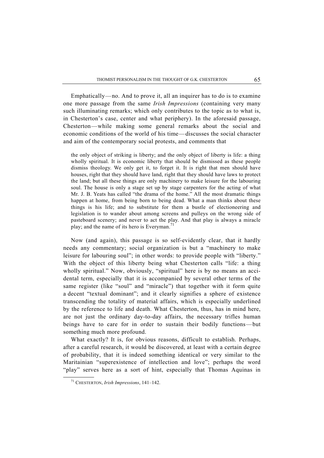Emphatically—no. And to prove it, all an inquirer has to do is to examine one more passage from the same *Irish Impressions* (containing very many such illuminating remarks; which only contributes to the topic as to what is, in Chesterton's case, center and what periphery). In the aforesaid passage, Chesterton—while making some general remarks about the social and economic conditions of the world of his time—discusses the social character and aim of the contemporary social protests, and comments that

the only object of striking is liberty; and the only object of liberty is life: a thing wholly spiritual. It is economic liberty that should be dismissed as these people dismiss theology. We only get it, to forget it. It is right that men should have houses, right that they should have land, right that they should have laws to protect the land; but all these things are only machinery to make leisure for the labouring soul. The house is only a stage set up by stage carpenters for the acting of what Mr. J. B. Yeats has called "the drama of the home." All the most dramatic things happen at home, from being born to being dead. What a man thinks about these things is his life; and to substitute for them a bustle of electioneering and legislation is to wander about among screens and pulleys on the wrong side of pasteboard scenery; and never to act the play. And that play is always a miracle play; and the name of its hero is Everyman.

Now (and again), this passage is so self-evidently clear, that it hardly needs any commentary; social organization is but a "machinery to make leisure for labouring soul"; in other words: to provide people with "liberty." With the object of this liberty being what Chesterton calls "life: a thing wholly spiritual." Now, obviously, "spiritual" here is by no means an accidental term, especially that it is accompanied by several other terms of the same register (like "soul" and "miracle") that together with it form quite a decent "textual dominant"; and it clearly signifies a sphere of existence transcending the totality of material affairs, which is especially underlined by the reference to life and death. What Chesterton, thus, has in mind here, are not just the ordinary day-to-day affairs, the necessary trifles human beings have to care for in order to sustain their bodily functions—but something much more profound.

What exactly? It is, for obvious reasons, difficult to establish. Perhaps, after a careful research, it would be discovered, at least with a certain degree of probability, that it is indeed something identical or very similar to the Maritainian "superexistence of intellection and love"; perhaps the word "play" serves here as a sort of hint, especially that Thomas Aquinas in

 <sup>71</sup> CHESTERTON, *Irish Impressions*, 141–142.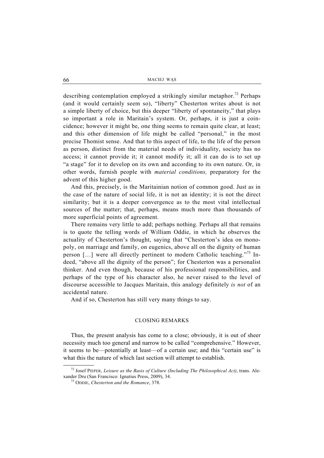describing contemplation employed a strikingly similar metaphor.<sup>72</sup> Perhaps (and it would certainly seem so), "liberty" Chesterton writes about is not a simple liberty of choice, but this deeper "liberty of spontaneity," that plays so important a role in Maritain's system. Or, perhaps, it is just a coincidence; however it might be, one thing seems to remain quite clear, at least; and this other dimension of life might be called "personal," in the most precise Thomist sense. And that to this aspect of life, to the life of the person as person, distinct from the material needs of individuality, society has no access; it cannot provide it; it cannot modify it; all it can do is to set up "a stage" for it to develop on its own and according to its own nature. Or, in other words, furnish people with *material conditions,* preparatory for the advent of this higher good.

And this, precisely, is the Maritainian notion of common good. Just as in the case of the nature of social life, it is not an identity; it is not the direct similarity; but it is a deeper convergence as to the most vital intellectual sources of the matter; that, perhaps, means much more than thousands of more superficial points of agreement.

There remains very little to add; perhaps nothing. Perhaps all that remains is to quote the telling words of William Oddie, in which he observes the actuality of Chesterton's thought, saying that "Chesterton's idea on monopoly, on marriage and family, on eugenics, above all on the dignity of human person  $[\dots]$  were all directly pertinent to modern Catholic teaching."<sup>73</sup> Indeed, "above all the dignity of the person"; for Chesterton was a personalist thinker. And even though, because of his professional responsibilities, and perhaps of the type of his character also, he never raised to the level of discourse accessible to Jacques Maritain, this analogy definitely *is not* of an accidental nature.

And if so, Chesterton has still very many things to say.

### CLOSING REMARKS

Thus, the present analysis has come to a close; obviously, it is out of sheer necessity much too general and narrow to be called "comprehensive." However, it seems to be—potentially at least—of a certain use; and this "certain use" is what this the nature of which last section will attempt to establish.

 <sup>72</sup> Josef PIEPER, *Leisure as the Basis of Culture (Including The Philosophical Act)*, trans. Alexander Dru (San Francisco: Ignatius Press, 2009), 34. 73 ODDIE, *Chesterton and the Romance*, 378.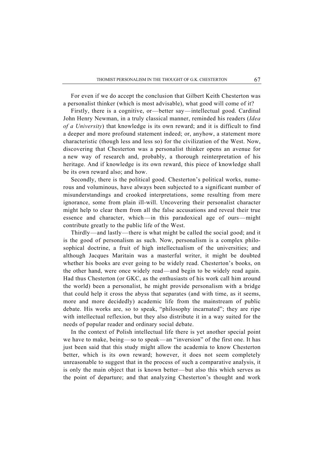For even if we do accept the conclusion that Gilbert Keith Chesterton was a personalist thinker (which is most advisable), what good will come of it?

Firstly, there is a cognitive, or—better say—intellectual good. Cardinal John Henry Newman, in a truly classical manner, reminded his readers (*Idea of a University*) that knowledge is its own reward; and it is difficult to find a deeper and more profound statement indeed; or, anyhow, a statement more characteristic (though less and less so) for the civilization of the West. Now, discovering that Chesterton was a personalist thinker opens an avenue for a new way of research and, probably, a thorough reinterpretation of his heritage. And if knowledge is its own reward, this piece of knowledge shall be its own reward also; and how.

Secondly, there is the political good. Chesterton's political works, numerous and voluminous, have always been subjected to a significant number of misunderstandings and crooked interpretations, some resulting from mere ignorance, some from plain ill-will. Uncovering their personalist character might help to clear them from all the false accusations and reveal their true essence and character, which—in this paradoxical age of ours—might contribute greatly to the public life of the West.

Thirdly—and lastly—there is what might be called the social good; and it is the good of personalism as such. Now, personalism is a complex philosophical doctrine, a fruit of high intellectualism of the universities; and although Jacques Maritain was a masterful writer, it might be doubted whether his books are ever going to be widely read. Chesterton's books, on the other hand, were once widely read—and begin to be widely read again. Had thus Chesterton (or GKC, as the enthusiasts of his work call him around the world) been a personalist, he might provide personalism with a bridge that could help it cross the abyss that separates (and with time, as it seems, more and more decidedly) academic life from the mainstream of public debate. His works are, so to speak, "philosophy incarnated"; they are ripe with intellectual reflexion, but they also distribute it in a way suited for the needs of popular reader and ordinary social debate.

In the context of Polish intellectual life there is yet another special point we have to make, being—so to speak—an "inversion" of the first one. It has just been said that this study might allow the academia to know Chesterton better, which is its own reward; however, it does not seem completely unreasonable to suggest that in the process of such a comparative analysis, it is only the main object that is known better—but also this which serves as the point of departure; and that analyzing Chesterton's thought and work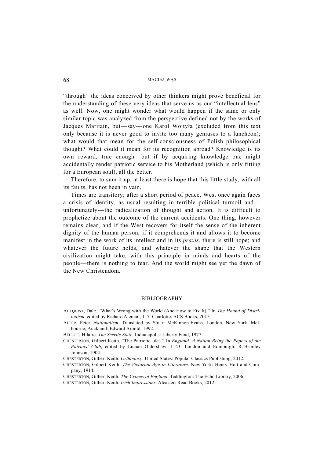"through" the ideas conceived by other thinkers might prove beneficial for the understanding of these very ideas that serve us as our "intellectual lens" as well. Now, one might wonder what would happen if the same or only similar topic was analyzed from the perspective defined not by the works of Jacques Maritain, but—say—one Karol Wojtyła (excluded from this text only because it is never good to invite too many geniuses to a luncheon); what would that mean for the self-consciousness of Polish philosophical thought? What could it mean for its recognition abroad? Knowledge is its own reward, true enough—but if by acquiring knowledge one might accidentally render patriotic service to his Motherland (which is only fitting for a European soul), all the better.

Therefore, to sum it up, at least there is hope that this little study, with all its faults, has not been in vain.

Times are transitory; after a short period of peace, West once again faces a crisis of identity, as usual resulting in terrible political turmoil and unfortunately—the radicalization of thought and action. It is difficult to prophetize about the outcome of the current accidents. One thing, however remains clear; and if the West recovers for itself the sense of the inherent dignity of the human person, if it comprehends it and allows it to become manifest in the work of its intellect and in its *praxis*, there is still hope; and whatever the future holds, and whatever the shape that the Western civilization might take, with this principle in minds and hearts of the people—there is nothing to fear. And the world might see yet the dawn of the New Christendom.

#### BIBLIOGRAPHY

- AHLQUIST, Dale. "What's Wrong with the World (And How to Fix It)." In *The Hound of Distributism*, edited by Richard Aleman, 1–7. Charlotte: ACS Books, 2015.
- ALTER, Peter. *Nationalism*. Translated by Stuart McKinnon-Evans. London, New York, Melbourne, Auckland: Edward Arnold, 1992.
- BELLOC, Hilaire. *The Servile State*. Indianapolis: Liberty Fund, 1977.
- CHESTERTON, Gilbert Keith. "The Patriotic Idea." In *England: A Nation Being the Papers of the Patriots' Club*, edited by Lucian Oldershaw, 1–43. London and Edinburgh: R. Brimley Johnson, 1904.
- CHESTERTON, Gilbert Keith. *Orthodoxy*. United States: Popular Classics Publishing, 2012.
- CHESTERTON, Gilbert Keith. *The Victorian Age in Literature*. New York: Henry Holt and Company, 1914.
- CHESTERTON, Gilbert Keith. *The Crimes of England*. Teddington: The Echo Library, 2006.
- CHESTERTON, Gilbert Keith. *Irish Impressions*. Alcaster: Read Books, 2012.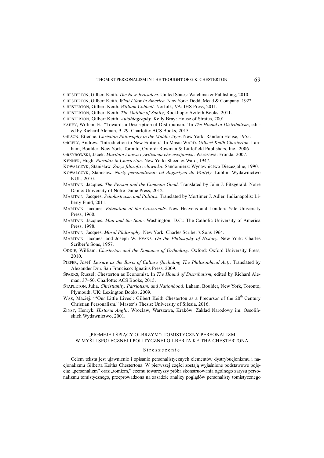CHESTERTON, Gilbert Keith. *The New Jerusalem*. United States: Watchmaker Publishing, 2010.

CHESTERTON, Gilbert Keith. *What I Saw in America*. New York: Dodd, Mead & Company, 1922.

CHESTERTON, Gilbert Keith. *William Cobbett*. Norfolk, VA: IHS Press, 2011.

CHESTERTON, Gilbert Keith. *The Outline of Sanity*, Rookhope: Aziloth Books, 2011.

CHESTERTON, Gilbert Keith. *Autobiography*. Kelly Bray: House of Stratus, 2001.

FAHEY, William E.: "Towards a Description of Distributism." In *The Hound of Distributism*, edited by Richard Aleman, 9–29. Charlotte: ACS Books, 2015.

- GILSON, Étienne. *Christian Philosophy in the Middle Ages*. New York: Random House, 1955. GREELY, Andrew. "Introduction to New Edition." In Masie WARD. *Gilbert Keith Chesterton*. Lan-
- ham, Boulder, New York, Toronto, Oxford: Rowman & Littlefield Publishers, Inc., 2006. GRZYBOWSKI, Jacek. *Maritain i nowa cywilizacja chrześcijańska*. Warszawa: Fronda, 2007.

KENNER, Hugh. *Paradox in Chesterton*. New York: Sheed & Ward, 1947.

KOWALCZYK, Stanisław. *Zarys filozofii człowieka*. Sandomierz: Wydawnictwo Diecezjalne, 1990.

- KOWALCZYK, Stanisław. *Nurty personalizmu: od Augustyna do Wojtyły*. Lublin: Wydawnictwo KUL, 2010.
- MARITAIN, Jacques. *The Person and the Common Good*. Translated by John J. Fitzgerald. Notre Dame: University of Notre Dame Press, 2012.
- MARITAIN, Jacques. *Scholasticism and Politics*. Translated by Mortimer J. Adler. Indianapolis: Liberty Fund, 2011.
- MARITAIN, Jacques. *Education at the Crossroads*. New Heavens and London: Yale University Press, 1960.
- MARITAIN, Jacques. *Man and the State*. Washington, D.C.: The Catholic University of America Press, 1998.

MARITAIN, Jacques. *Moral Philosophy*. New York: Charles Scriber's Sons 1964.

- MARITAIN, Jacques, and Joseph W. EVANS. *On the Philosophy of History*. New York: Charles Scriber's Sons, 1957.
- ODDIE, William. *Chesterton and the Romance of Orthodoxy*. Oxford: Oxford University Press, 2010.

PIEPER, Josef. *Leisure as the Basis of Culture (Including The Philosophical Act)*. Translated by Alexander Dru. San Francisco: Ignatius Press, 2009.

- SPARKS, Russel: Chesterton as Economist. In *The Hound of Distributism*, edited by Richard Aleman, 37–50. Charlotte: ACS Books, 2015.
- STAPLETON, Julia. *Christianity, Patriotism, and Nationhood*. Laham, Boulder, New York, Toronto, Plymouth, UK: Lexington Books, 2009.
- WAS, Maciej. "'Our Little Lives': Gilbert Keith Chesterton as a Precursor of the 20<sup>th</sup> Century Christian Personalism." Master's Thesis: University of Silesia, 2016.
- ZINST, Henryk. *Historia Anglii*. Wrocław, Warszawa, Kraków: Zakład Narodowy im. Ossolińskich Wydawnictwo, 2001.

## "PIGMEJE I ŚPIĄCY OLBRZYM": TOMISTYCZNY PERSONALIZM W MYŚLI SPOŁECZNEJ I POLITYCZNEJ GILBERTA KEITHA CHESTERTONA

#### Streszczenie

 Celem tekstu jest ujawnienie i opisanie personalistycznych elementów dystrybucjonizmu i nacjonalizmu Gilberta Keitha Chestertona. W pierwszej części zostają wyjaśnione podstawowe pojęcia: "personalizm" oraz "tomizm," czemu towarzyszy próba skonstruowania ogólnego zarysu personalizmu tomistycznego, przeprowadzona na zasadzie analizy poglądów personalisty tomistycznego